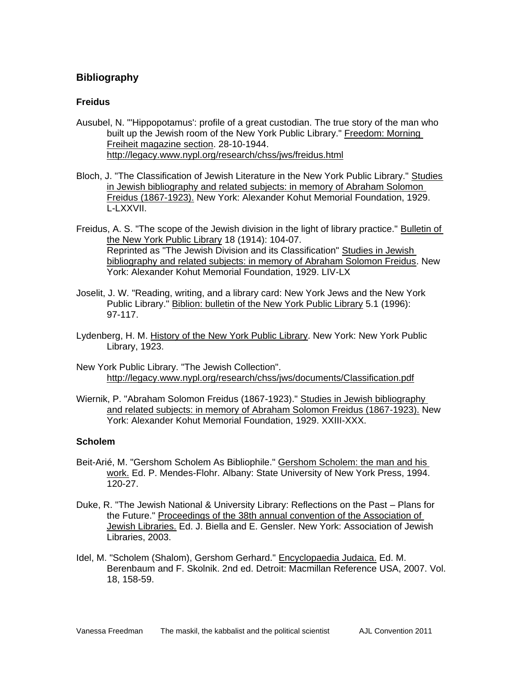# **Bibliography**

## **Freidus**

- Ausubel, N. "'Hippopotamus': profile of a great custodian. The true story of the man who built up the Jewish room of the New York Public Library." Freedom: Morning Freiheit magazine section. 28-10-1944. http://legacy.www.nypl.org/research/chss/jws/freidus.html
- Bloch, J. "The Classification of Jewish Literature in the New York Public Library." Studies in Jewish bibliography and related subjects: in memory of Abraham Solomon Freidus (1867-1923). New York: Alexander Kohut Memorial Foundation, 1929. L-LXXVII.
- Freidus, A. S. "The scope of the Jewish division in the light of library practice." Bulletin of the New York Public Library 18 (1914): 104-07. Reprinted as "The Jewish Division and its Classification" Studies in Jewish bibliography and related subjects: in memory of Abraham Solomon Freidus. New York: Alexander Kohut Memorial Foundation, 1929. LIV-LX
- Joselit, J. W. "Reading, writing, and a library card: New York Jews and the New York Public Library." Biblion: bulletin of the New York Public Library 5.1 (1996): 97-117.
- Lydenberg, H. M. History of the New York Public Library. New York: New York Public Library, 1923.
- New York Public Library. "The Jewish Collection". http://legacy.www.nypl.org/research/chss/jws/documents/Classification.pdf
- Wiernik, P. "Abraham Solomon Freidus (1867-1923)." Studies in Jewish bibliography and related subjects: in memory of Abraham Solomon Freidus (1867-1923). New York: Alexander Kohut Memorial Foundation, 1929. XXIII-XXX.

#### **Scholem**

- Beit-Arié, M. "Gershom Scholem As Bibliophile." Gershom Scholem: the man and his work. Ed. P. Mendes-Flohr. Albany: State University of New York Press, 1994. 120-27.
- Duke, R. "The Jewish National & University Library: Reflections on the Past Plans for the Future." Proceedings of the 38th annual convention of the Association of Jewish Libraries. Ed. J. Biella and E. Gensler. New York: Association of Jewish Libraries, 2003.
- Idel, M. "Scholem (Shalom), Gershom Gerhard." Encyclopaedia Judaica. Ed. M. Berenbaum and F. Skolnik. 2nd ed. Detroit: Macmillan Reference USA, 2007. Vol. 18, 158-59.